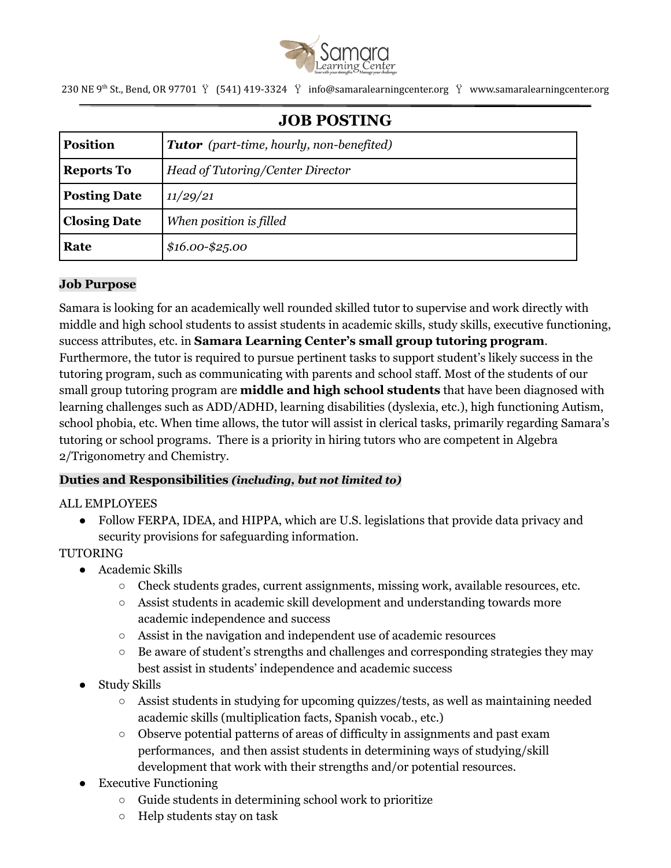

230 NE 9<sup>th</sup> St., Bend, OR 97701  $\breve{Y}$  (541) 419-3324  $\breve{Y}$  info@samaralearningcenter.org  $\breve{Y}$  www.samaralearningcenter.org

| <b>JOB POSTING</b>  |                                                 |
|---------------------|-------------------------------------------------|
| <b>Position</b>     | <b>Tutor</b> (part-time, hourly, non-benefited) |
| <b>Reports To</b>   | Head of Tutoring/Center Director                |
| <b>Posting Date</b> | 11/29/21                                        |
| <b>Closing Date</b> | When position is filled                         |
| Rate                | $$16.00 - $25.00$                               |

### **Job Purpose**

Samara is looking for an academically well rounded skilled tutor to supervise and work directly with middle and high school students to assist students in academic skills, study skills, executive functioning, success attributes, etc. in **Samara Learning Center's small group tutoring program**. Furthermore, the tutor is required to pursue pertinent tasks to support student's likely success in the tutoring program, such as communicating with parents and school staff. Most of the students of our small group tutoring program are **middle and high school students** that have been diagnosed with learning challenges such as ADD/ADHD, learning disabilities (dyslexia, etc.), high functioning Autism, school phobia, etc. When time allows, the tutor will assist in clerical tasks, primarily regarding Samara's tutoring or school programs. There is a priority in hiring tutors who are competent in Algebra 2/Trigonometry and Chemistry.

### **Duties and Responsibilities** *(including, but not limited to)*

### ALL EMPLOYEES

• Follow FERPA, IDEA, and HIPPA, which are U.S. legislations that provide data privacy and security provisions for safeguarding information.

### **TUTORING**

- Academic Skills
	- Check students grades, current assignments, missing work, available resources, etc.
	- Assist students in academic skill development and understanding towards more academic independence and success
	- Assist in the navigation and independent use of academic resources
	- $\circ$  Be aware of student's strengths and challenges and corresponding strategies they may best assist in students' independence and academic success
- **Study Skills** 
	- $\circ$  Assist students in studying for upcoming quizzes/tests, as well as maintaining needed academic skills (multiplication facts, Spanish vocab., etc.)
	- Observe potential patterns of areas of difficulty in assignments and past exam performances, and then assist students in determining ways of studying/skill development that work with their strengths and/or potential resources.
- **Executive Functioning** 
	- Guide students in determining school work to prioritize
	- Help students stay on task